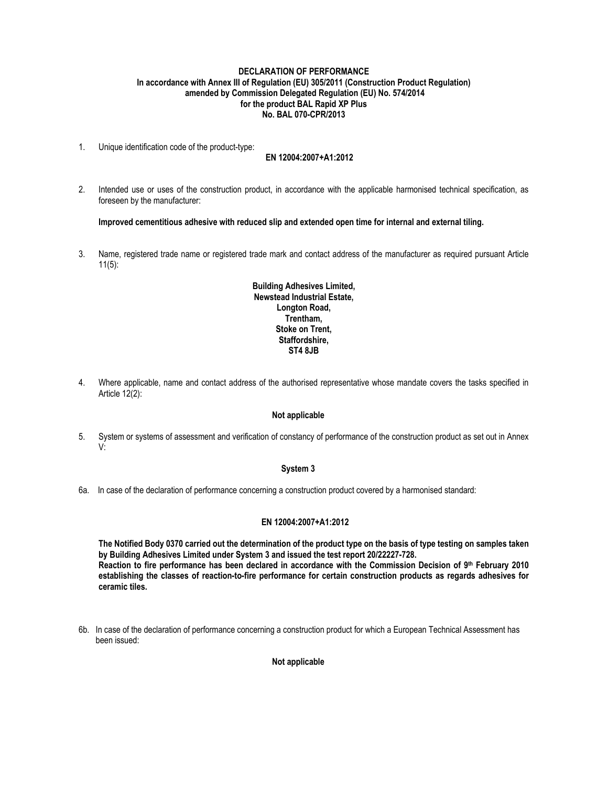### **DECLARATION OF PERFORMANCE In accordance with Annex III of Regulation (EU) 305/2011 (Construction Product Regulation) amended by Commission Delegated Regulation (EU) No. 574/2014 for the product BAL Rapid XP Plus No. BAL 070-CPR/2013**

1. Unique identification code of the product-type:

### **EN 12004:2007+A1:2012**

2. Intended use or uses of the construction product, in accordance with the applicable harmonised technical specification, as foreseen by the manufacturer:

**Improved cementitious adhesive with reduced slip and extended open time for internal and external tiling.** 

3. Name, registered trade name or registered trade mark and contact address of the manufacturer as required pursuant Article 11(5):

## **Building Adhesives Limited, Newstead Industrial Estate, Longton Road, Trentham, Stoke on Trent, Staffordshire, ST4 8JB**

4. Where applicable, name and contact address of the authorised representative whose mandate covers the tasks specified in Article 12(2):

### **Not applicable**

5. System or systems of assessment and verification of constancy of performance of the construction product as set out in Annex V:

#### **System 3**

6a. In case of the declaration of performance concerning a construction product covered by a harmonised standard:

### **EN 12004:2007+A1:2012**

**The Notified Body 0370 carried out the determination of the product type on the basis of type testing on samples taken by Building Adhesives Limited under System 3 and issued the test report 20/22227-728. Reaction to fire performance has been declared in accordance with the Commission Decision of 9th February 2010 establishing the classes of reaction-to-fire performance for certain construction products as regards adhesives for ceramic tiles.** 

6b. In case of the declaration of performance concerning a construction product for which a European Technical Assessment has been issued:

 **Not applicable**